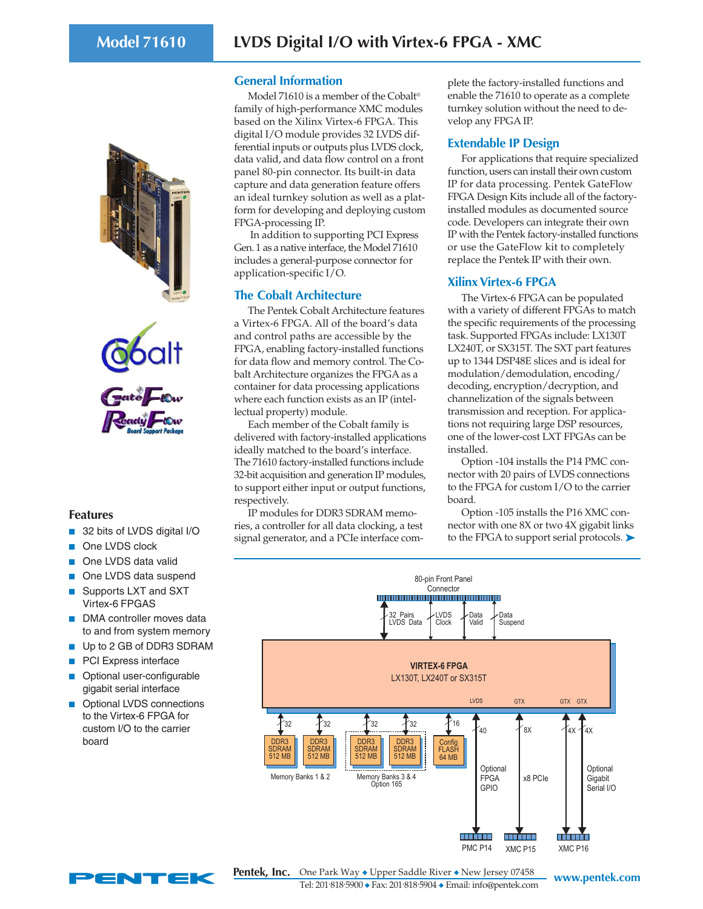



## **Features**

- 32 bits of LVDS digital I/O
- One LVDS clock
- One LVDS data valid
- One LVDS data suspend
- Supports LXT and SXT Virtex-6 FPGAS
- DMA controller moves data to and from system memory
- Up to 2 GB of DDR3 SDRAM
- PCI Express interface
- Optional user-configurable gigabit serial interface
- Optional LVDS connections to the Virtex-6 FPGA for custom I/O to the carrier board

## **General Information**

Model 71610 is a member of the Cobalt® family of high-performance XMC modules based on the Xilinx Virtex-6 FPGA. This digital I/O module provides 32 LVDS differential inputs or outputs plus LVDS clock, data valid, and data flow control on a front panel 80-pin connector. Its built-in data capture and data generation feature offers an ideal turnkey solution as well as a platform for developing and deploying custom FPGA-processing IP.

 In addition to supporting PCI Express Gen. 1 as a native interface, the Model 71610 includes a general-purpose connector for application-specific I/O.

### **The Cobalt Architecture**

The Pentek Cobalt Architecture features a Virtex-6 FPGA. All of the board's data and control paths are accessible by the FPGA, enabling factory-installed functions for data flow and memory control. The Cobalt Architecture organizes the FPGA as a container for data processing applications where each function exists as an IP (intellectual property) module.

Each member of the Cobalt family is delivered with factory-installed applications ideally matched to the board's interface. The 71610 factory-installed functions include 32-bit acquisition and generation IP modules, to support either input or output functions, respectively.

IP modules for DDR3 SDRAM memories, a controller for all data clocking, a test signal generator, and a PCIe interface com-

plete the factory-installed functions and enable the 71610 to operate as a complete turnkey solution without the need to develop any FPGA IP.

## **Extendable IP Design**

For applications that require specialized function, users can install their own custom IP for data processing. Pentek GateFlow FPGA Design Kits include all of the factoryinstalled modules as documented source code. Developers can integrate their own IP with the Pentek factory-installed functions or use the GateFlow kit to completely replace the Pentek IP with their own.

# **Xilinx Virtex-6 FPGA**

The Virtex-6 FPGA can be populated with a variety of different FPGAs to match the specific requirements of the processing task. Supported FPGAs include: LX130T LX240T, or SX315T. The SXT part features up to 1344 DSP48E slices and is ideal for modulation/demodulation, encoding/ decoding, encryption/decryption, and channelization of the signals between transmission and reception. For applications not requiring large DSP resources, one of the lower-cost LXT FPGAs can be installed.

Option -104 installs the P14 PMC connector with 20 pairs of LVDS connections to the FPGA for custom I/O to the carrier board.

Option -105 installs the P16 XMC connector with one 8X or two 4X gigabit links to the FPGA to support serial protocols. ►





**www.pentek.com** One Park Way ◆ Upper Saddle River ◆ New Jersey 07458 Tel: 201. 818. 5900 ◆ Fax: 201. 818. 5904 ◆ Email: info@pentek.com **Pentek, Inc.**